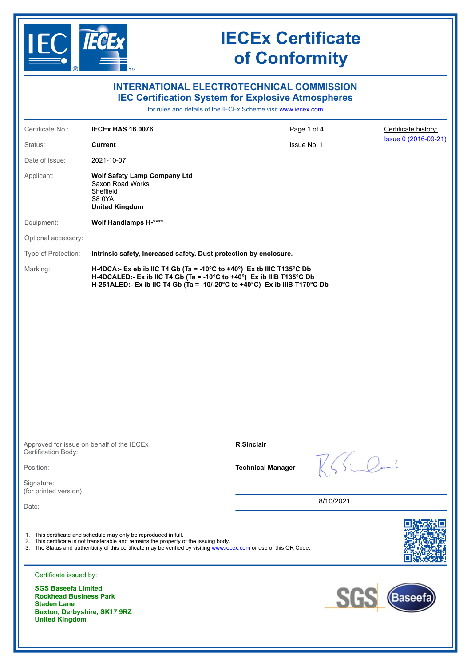

| <b>INTERNATIONAL ELECTROTECHNICAL COMMISSION</b><br><b>IEC Certification System for Explosive Atmospheres</b> |                                                                                                                                                                                                                                                                                   |                          |                      |                      |
|---------------------------------------------------------------------------------------------------------------|-----------------------------------------------------------------------------------------------------------------------------------------------------------------------------------------------------------------------------------------------------------------------------------|--------------------------|----------------------|----------------------|
| for rules and details of the IECEx Scheme visit www.jecex.com                                                 |                                                                                                                                                                                                                                                                                   |                          |                      |                      |
| Certificate No.:                                                                                              | <b>IECEX BAS 16.0076</b>                                                                                                                                                                                                                                                          | Page 1 of 4              |                      | Certificate history: |
| Status:                                                                                                       | <b>Current</b>                                                                                                                                                                                                                                                                    | Issue No: 1              |                      | Issue 0 (2016-09-21) |
| Date of Issue:                                                                                                | 2021-10-07                                                                                                                                                                                                                                                                        |                          |                      |                      |
| Applicant:                                                                                                    | <b>Wolf Safety Lamp Company Ltd</b><br>Saxon Road Works<br>Sheffield<br><b>S80YA</b><br><b>United Kingdom</b>                                                                                                                                                                     |                          |                      |                      |
| Equipment:                                                                                                    | Wolf Handlamps H-****                                                                                                                                                                                                                                                             |                          |                      |                      |
| Optional accessory:                                                                                           |                                                                                                                                                                                                                                                                                   |                          |                      |                      |
| Type of Protection:                                                                                           | Intrinsic safety, Increased safety. Dust protection by enclosure.                                                                                                                                                                                                                 |                          |                      |                      |
| Marking:                                                                                                      | H-4DCA:- Ex eb ib IIC T4 Gb (Ta = -10°C to +40°) Ex tb IIIC T135°C Db<br>H-4DCALED:- Ex ib IIC T4 Gb (Ta = -10°C to +40°) Ex ib IIIB T135°C Db<br>H-251ALED:- Ex ib IIC T4 Gb (Ta = -10/-20°C to +40°C) Ex ib IIIB T170°C Db                                                      |                          |                      |                      |
| Certification Body:                                                                                           | Approved for issue on behalf of the IECEx                                                                                                                                                                                                                                         | <b>R.Sinclair</b>        |                      |                      |
| Position:                                                                                                     |                                                                                                                                                                                                                                                                                   | <b>Technical Manager</b> | $K\leqslant$ Similar |                      |
| Signature:                                                                                                    |                                                                                                                                                                                                                                                                                   |                          |                      |                      |
| (for printed version)                                                                                         |                                                                                                                                                                                                                                                                                   | 8/10/2021                |                      |                      |
| Date:<br>Certificate issued by:<br><b>SGS Baseefa Limited</b>                                                 | 1. This certificate and schedule may only be reproduced in full.<br>2. This certificate is not transferable and remains the property of the issuing body.<br>3. The Status and authenticity of this certificate may be verified by visiting www.iecex.com or use of this QR Code. |                          |                      |                      |
| <b>Rockhead Business Park</b><br><b>Staden Lane</b><br>Buxton, Derbyshire, SK17 9RZ<br><b>United Kingdom</b>  |                                                                                                                                                                                                                                                                                   |                          | <b>SG</b>            | (Baseefa             |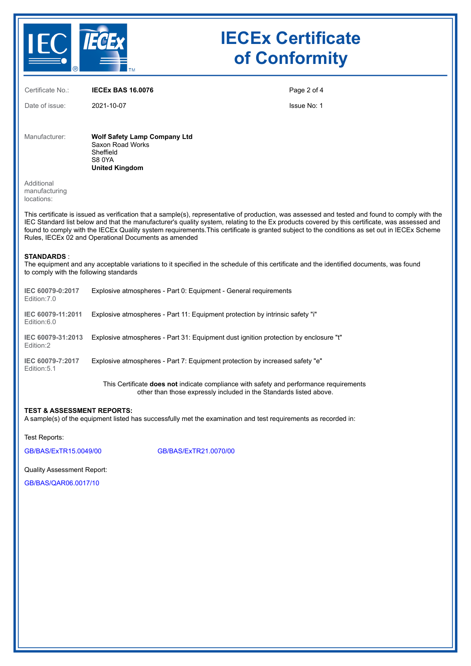

Certificate No.: **IECEx BAS 16.0076** Date of issue: 2021-10-07 Page 2 of 4 Issue No: 1 Manufacturer: **Wolf Safety Lamp Company Ltd** Saxon Road Works Sheffield S8 0YA **United Kingdom** Additional manufacturing locations: This certificate is issued as verification that a sample(s), representative of production, was assessed and tested and found to comply with the IEC Standard list below and that the manufacturer's quality system, relating to the Ex products covered by this certificate, was assessed and found to comply with the IECEx Quality system requirements.This certificate is granted subject to the conditions as set out in IECEx Scheme Rules, IECEx 02 and Operational Documents as amended **STANDARDS** : The equipment and any acceptable variations to it specified in the schedule of this certificate and the identified documents, was found to comply with the following standards **IEC 60079-0:2017** Edition:7.0 Explosive atmospheres - Part 0: Equipment - General requirements **IEC 60079-11:2011** Explosive atmospheres - Part 11: Equipment protection by intrinsic safety "i" Edition:6.0 **IEC 60079-31:2013** Explosive atmospheres - Part 31: Equipment dust ignition protection by enclosure "t" Edition:2 **IEC 60079-7:2017** Edition:5.1 Explosive atmospheres - Part 7: Equipment protection by increased safety "e" This Certificate **does not** indicate compliance with safety and performance requirements other than those expressly included in the Standards listed above.

## **TEST & ASSESSMENT REPORTS:**

A sample(s) of the equipment listed has successfully met the examination and test requirements as recorded in:

Test Reports:

[GB/BAS/ExTR15.0049/00](https://www.iecex-certs.com/#/deliverables/REPORT/19604/view) [GB/BAS/ExTR21.0070/00](https://www.iecex-certs.com/#/deliverables/REPORT/73513/view)

## Quality Assessment Report:

[GB/BAS/QAR06.0017/10](https://www.iecex-certs.com/#/deliverables/REPORT/77343/view)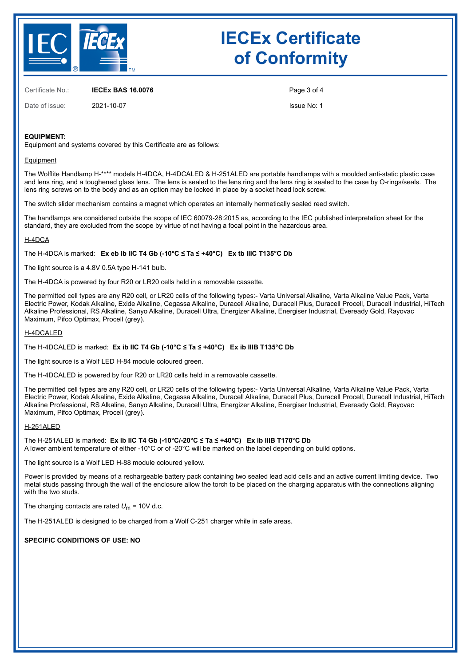

Certificate No.: **IECEx BAS 16.0076**

Date of issue: 2021-10-07

Page 3 of 4

Issue No: 1

## **EQUIPMENT:**

Equipment and systems covered by this Certificate are as follows:

#### **Equipment**

The Wolflite Handlamp H-\*\*\*\* models H-4DCA, H-4DCALED & H-251ALED are portable handlamps with a moulded anti-static plastic case and lens ring, and a toughened glass lens. The lens is sealed to the lens ring and the lens ring is sealed to the case by O-rings/seals. The lens ring screws on to the body and as an option may be locked in place by a socket head lock screw.

The switch slider mechanism contains a magnet which operates an internally hermetically sealed reed switch.

The handlamps are considered outside the scope of IEC 60079-28:2015 as, according to the IEC published interpretation sheet for the standard, they are excluded from the scope by virtue of not having a focal point in the hazardous area.

#### H-4DCA

The H-4DCA is marked: **Ex eb ib IIC T4 Gb (-10°C ≤ Ta ≤ +40°C) Ex tb IIIC T135°C Db**

The light source is a 4.8V 0.5A type H-141 bulb.

The H-4DCA is powered by four R20 or LR20 cells held in a removable cassette.

The permitted cell types are any R20 cell, or LR20 cells of the following types:- Varta Universal Alkaline, Varta Alkaline Value Pack, Varta Electric Power, Kodak Alkaline, Exide Alkaline, Cegassa Alkaline, Duracell Alkaline, Duracell Plus, Duracell Procell, Duracell Industrial, HiTech Alkaline Professional, RS Alkaline, Sanyo Alkaline, Duracell Ultra, Energizer Alkaline, Energiser Industrial, Eveready Gold, Rayovac Maximum, Pifco Optimax, Procell (grey).

#### H-4DCALED

The H-4DCALED is marked: **Ex ib IIC T4 Gb (-10°C ≤ Ta ≤ +40°C) Ex ib IIIB T135°C Db**

The light source is a Wolf LED H-84 module coloured green.

The H-4DCALED is powered by four R20 or LR20 cells held in a removable cassette.

The permitted cell types are any R20 cell, or LR20 cells of the following types:- Varta Universal Alkaline, Varta Alkaline Value Pack, Varta Electric Power, Kodak Alkaline, Exide Alkaline, Cegassa Alkaline, Duracell Alkaline, Duracell Plus, Duracell Procell, Duracell Industrial, HiTech Alkaline Professional, RS Alkaline, Sanyo Alkaline, Duracell Ultra, Energizer Alkaline, Energiser Industrial, Eveready Gold, Rayovac Maximum, Pifco Optimax, Procell (grey).

#### H-251ALED

The H-251ALED is marked: **Ex ib IIC T4 Gb (-10°C/-20°C ≤ Ta ≤ +40°C) Ex ib IIIB T170°C Db** A lower ambient temperature of either -10°C or of -20°C will be marked on the label depending on build options.

The light source is a Wolf LED H-88 module coloured yellow.

Power is provided by means of a rechargeable battery pack containing two sealed lead acid cells and an active current limiting device. Two metal studs passing through the wall of the enclosure allow the torch to be placed on the charging apparatus with the connections aligning with the two studs.

The charging contacts are rated  $U_m$  = 10V d.c.

The H-251ALED is designed to be charged from a Wolf C-251 charger while in safe areas.

**SPECIFIC CONDITIONS OF USE: NO**